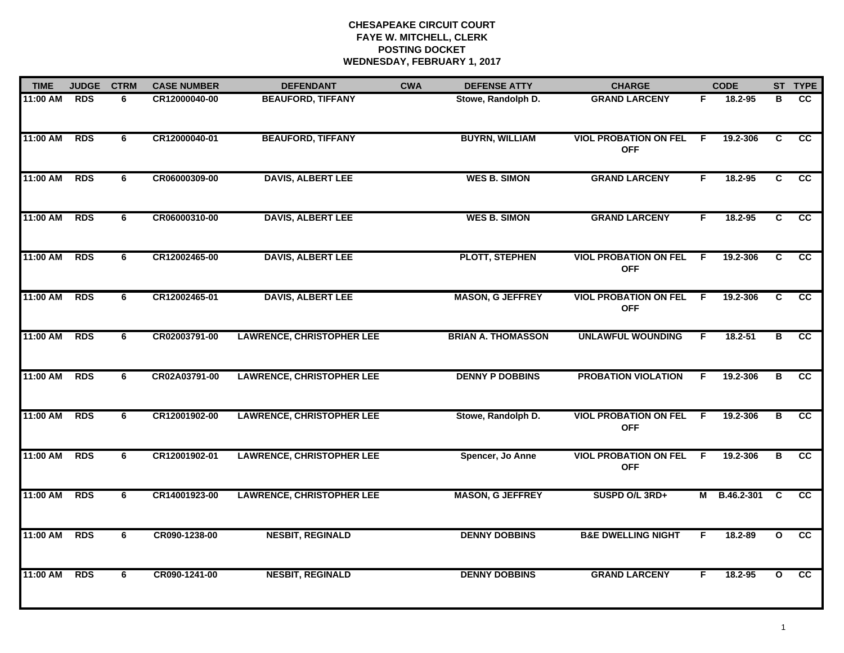## **CHESAPEAKE CIRCUIT COURT FAYE W. MITCHELL, CLERK POSTING DOCKET WEDNESDAY, FEBRUARY 1, 2017**

| <b>TIME</b> | <b>JUDGE</b> | <b>CTRM</b><br><b>CASE NUMBER</b> |               | <b>DEFENDANT</b>                 | <b>CWA</b> | <b>DEFENSE ATTY</b>       | <b>CHARGE</b>                                |     | <b>CODE</b>  |              | ST TYPE         |
|-------------|--------------|-----------------------------------|---------------|----------------------------------|------------|---------------------------|----------------------------------------------|-----|--------------|--------------|-----------------|
| 11:00 AM    | <b>RDS</b>   | 6                                 | CR12000040-00 | <b>BEAUFORD, TIFFANY</b>         |            | Stowe, Randolph D.        | <b>GRAND LARCENY</b>                         | F.  | 18.2-95      | в            | cc              |
| 11:00 AM    | <b>RDS</b>   | 6                                 | CR12000040-01 | <b>BEAUFORD, TIFFANY</b>         |            | <b>BUYRN, WILLIAM</b>     | <b>VIOL PROBATION ON FEL</b><br><b>OFF</b>   | - F | 19.2-306     | C            | cc              |
| 11:00 AM    | <b>RDS</b>   | 6                                 | CR06000309-00 | <b>DAVIS, ALBERT LEE</b>         |            | <b>WES B. SIMON</b>       | <b>GRAND LARCENY</b>                         | F   | 18.2-95      | C            | cc              |
| 11:00 AM    | <b>RDS</b>   | 6                                 | CR06000310-00 | <b>DAVIS, ALBERT LEE</b>         |            | <b>WES B. SIMON</b>       | <b>GRAND LARCENY</b>                         | F   | $18.2 - 95$  | C            | cc              |
| 11:00 AM    | <b>RDS</b>   | 6                                 | CR12002465-00 | <b>DAVIS, ALBERT LEE</b>         |            | <b>PLOTT, STEPHEN</b>     | <b>VIOL PROBATION ON FEL</b><br><b>OFF</b>   | F.  | 19.2-306     | $\mathbf{C}$ | <b>CC</b>       |
| 11:00 AM    | <b>RDS</b>   | 6                                 | CR12002465-01 | <b>DAVIS, ALBERT LEE</b>         |            | <b>MASON, G JEFFREY</b>   | <b>VIOL PROBATION ON FEL F</b><br><b>OFF</b> |     | 19.2-306     | C            | cc              |
| 11:00 AM    | <b>RDS</b>   | 6                                 | CR02003791-00 | <b>LAWRENCE, CHRISTOPHER LEE</b> |            | <b>BRIAN A. THOMASSON</b> | <b>UNLAWFUL WOUNDING</b>                     | F.  | 18.2-51      | в            | <b>CC</b>       |
| 11:00 AM    | <b>RDS</b>   | 6                                 | CR02A03791-00 | <b>LAWRENCE, CHRISTOPHER LEE</b> |            | <b>DENNY P DOBBINS</b>    | <b>PROBATION VIOLATION</b>                   | F   | 19.2-306     | В            | cc              |
| 11:00 AM    | <b>RDS</b>   | 6                                 | CR12001902-00 | <b>LAWRENCE, CHRISTOPHER LEE</b> |            | Stowe, Randolph D.        | <b>VIOL PROBATION ON FEL</b><br><b>OFF</b>   | F.  | 19.2-306     | B            | cc              |
| 11:00 AM    | <b>RDS</b>   | 6                                 | CR12001902-01 | <b>LAWRENCE, CHRISTOPHER LEE</b> |            | Spencer, Jo Anne          | <b>VIOL PROBATION ON FEL</b><br><b>OFF</b>   | E   | 19.2-306     | В            | <b>CC</b>       |
| 11:00 AM    | <b>RDS</b>   | 6                                 | CR14001923-00 | <b>LAWRENCE, CHRISTOPHER LEE</b> |            | <b>MASON, G JEFFREY</b>   | SUSPD O/L 3RD+                               |     | M B.46.2-301 | <b>C</b>     | cc              |
| 11:00 AM    | <b>RDS</b>   | 6                                 | CR090-1238-00 | <b>NESBIT, REGINALD</b>          |            | <b>DENNY DOBBINS</b>      | <b>B&amp;E DWELLING NIGHT</b>                | F   | 18.2-89      | $\mathbf{o}$ | $\overline{cc}$ |
| 11:00 AM    | <b>RDS</b>   | 6                                 | CR090-1241-00 | <b>NESBIT, REGINALD</b>          |            | <b>DENNY DOBBINS</b>      | <b>GRAND LARCENY</b>                         | F   | 18.2-95      | $\mathbf{o}$ | cc              |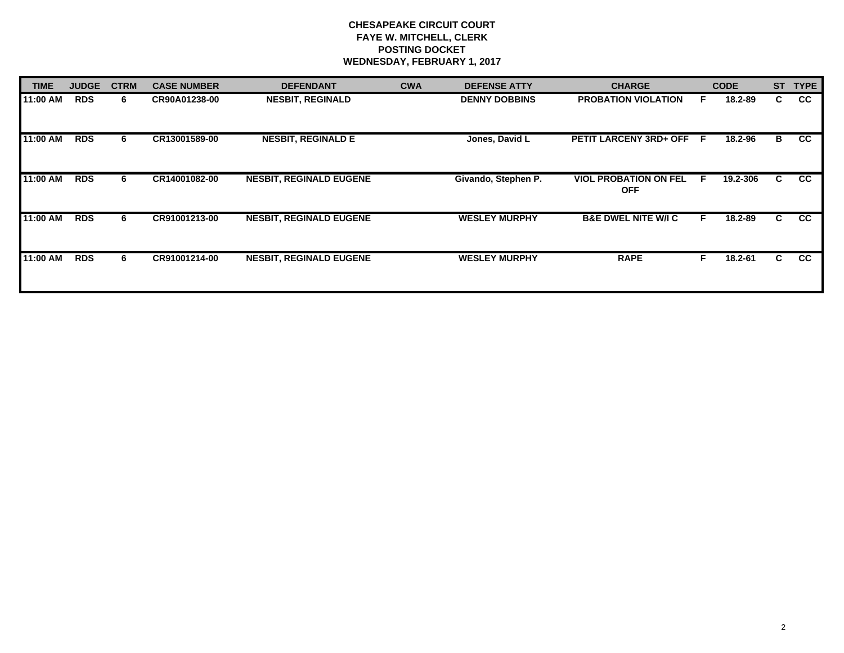## **CHESAPEAKE CIRCUIT COURT FAYE W. MITCHELL, CLERK POSTING DOCKET WEDNESDAY, FEBRUARY 1, 2017**

| <b>TIME</b> | <b>JUDGE</b> | <b>CTRM</b> | <b>CASE NUMBER</b> | <b>DEFENDANT</b>               | <b>CWA</b> | <b>DEFENSE ATTY</b>  | <b>CHARGE</b>                              |   | <b>CODE</b> | <b>ST</b> | <b>TYPE</b> |
|-------------|--------------|-------------|--------------------|--------------------------------|------------|----------------------|--------------------------------------------|---|-------------|-----------|-------------|
| 11:00 AM    | <b>RDS</b>   | 6.          | CR90A01238-00      | <b>NESBIT, REGINALD</b>        |            | <b>DENNY DOBBINS</b> | <b>PROBATION VIOLATION</b>                 |   | 18.2-89     | C.        | CC          |
| 11:00 AM    | <b>RDS</b>   | 6.          | CR13001589-00      | <b>NESBIT, REGINALD E</b>      |            | Jones, David L       | PETIT LARCENY 3RD+ OFF F                   |   | 18.2-96     | B         | <b>CC</b>   |
| 11:00 AM    | <b>RDS</b>   | 6           | CR14001082-00      | <b>NESBIT, REGINALD EUGENE</b> |            | Givando, Stephen P.  | <b>VIOL PROBATION ON FEL</b><br><b>OFF</b> | E | 19.2-306    | C.        | <b>CC</b>   |
| 11:00 AM    | <b>RDS</b>   | 6           | CR91001213-00      | <b>NESBIT, REGINALD EUGENE</b> |            | <b>WESLEY MURPHY</b> | <b>B&amp;E DWEL NITE W/I C</b>             | F | 18.2-89     | C.        | <b>CC</b>   |
| 11:00 AM    | <b>RDS</b>   | 6           | CR91001214-00      | <b>NESBIT, REGINALD EUGENE</b> |            | <b>WESLEY MURPHY</b> | <b>RAPE</b>                                |   | 18.2-61     | C.        | <b>CC</b>   |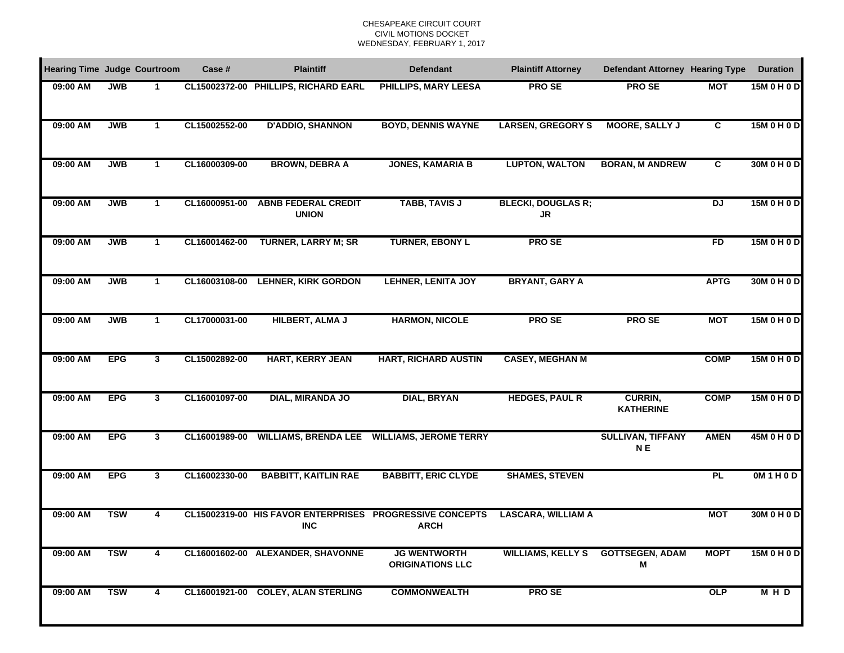## CHESAPEAKE CIRCUIT COURTCIVIL MOTIONS DOCKET WEDNESDAY, FEBRUARY 1, 2017

| <b>Hearing Time Judge Courtroom</b> |            |              | Case #        | <b>Plaintiff</b>                           | <b>Defendant</b>                                                        | <b>Plaintiff Attorney</b>              | <b>Defendant Attorney Hearing Type</b>     |                | <b>Duration</b> |
|-------------------------------------|------------|--------------|---------------|--------------------------------------------|-------------------------------------------------------------------------|----------------------------------------|--------------------------------------------|----------------|-----------------|
| 09:00 AM                            | <b>JWB</b> | 1            |               | CL15002372-00 PHILLIPS, RICHARD EARL       | <b>PHILLIPS, MARY LEESA</b>                                             | <b>PROSE</b>                           | <b>PROSE</b>                               | <b>MOT</b>     | 15M 0 H 0 D     |
| 09:00 AM                            | <b>JWB</b> | $\mathbf 1$  | CL15002552-00 | <b>D'ADDIO, SHANNON</b>                    | <b>BOYD, DENNIS WAYNE</b>                                               | <b>LARSEN, GREGORY S</b>               | <b>MOORE, SALLY J</b>                      | $\overline{c}$ | 15M 0 H 0 D     |
| 09:00 AM                            | <b>JWB</b> | 1            | CL16000309-00 | <b>BROWN, DEBRA A</b>                      | <b>JONES, KAMARIA B</b>                                                 | <b>LUPTON, WALTON</b>                  | <b>BORAN, M ANDREW</b>                     | C              | 30M 0 H 0 D     |
| 09:00 AM                            | <b>JWB</b> | $\mathbf 1$  | CL16000951-00 | <b>ABNB FEDERAL CREDIT</b><br><b>UNION</b> | <b>TABB, TAVIS J</b>                                                    | <b>BLECKI, DOUGLAS R;</b><br><b>JR</b> |                                            | DJ             | 15M 0 H 0 D     |
| 09:00 AM                            | <b>JWB</b> | $\mathbf{1}$ | CL16001462-00 | <b>TURNER, LARRY M; SR</b>                 | <b>TURNER, EBONY L</b>                                                  | <b>PROSE</b>                           |                                            | FD             | 15M 0 H 0 D     |
| 09:00 AM                            | <b>JWB</b> | $\mathbf{1}$ | CL16003108-00 | <b>LEHNER, KIRK GORDON</b>                 | <b>LEHNER, LENITA JOY</b>                                               | <b>BRYANT, GARY A</b>                  |                                            | <b>APTG</b>    | 30M 0 H 0 D     |
| 09:00 AM                            | <b>JWB</b> | $\mathbf{1}$ | CL17000031-00 | <b>HILBERT, ALMA J</b>                     | <b>HARMON, NICOLE</b>                                                   | <b>PROSE</b>                           | <b>PRO SE</b>                              | <b>MOT</b>     | 15M 0 H 0 D     |
| 09:00 AM                            | <b>EPG</b> | $\mathbf{3}$ | CL15002892-00 | <b>HART, KERRY JEAN</b>                    | <b>HART, RICHARD AUSTIN</b>                                             | <b>CASEY, MEGHAN M</b>                 |                                            | <b>COMP</b>    | 15M 0 H 0 D     |
| 09:00 AM                            | <b>EPG</b> | $\mathbf{3}$ | CL16001097-00 | <b>DIAL, MIRANDA JO</b>                    | <b>DIAL, BRYAN</b>                                                      | <b>HEDGES, PAUL R</b>                  | CURRIN,<br><b>KATHERINE</b>                | <b>COMP</b>    | 15M 0 H 0 D     |
| 09:00 AM                            | <b>EPG</b> | 3            | CL16001989-00 | <b>WILLIAMS, BRENDA LEE</b>                | <b>WILLIAMS, JEROME TERRY</b>                                           |                                        | <b>SULLIVAN, TIFFANY</b><br>N <sub>E</sub> | <b>AMEN</b>    | 45M 0 H 0 D     |
| 09:00 AM                            | <b>EPG</b> | 3            | CL16002330-00 | <b>BABBITT, KAITLIN RAE</b>                | <b>BABBITT, ERIC CLYDE</b>                                              | <b>SHAMES, STEVEN</b>                  |                                            | <b>PL</b>      | OM1H0D          |
| 09:00 AM                            | <b>TSW</b> | 4            |               | <b>INC</b>                                 | CL15002319-00 HIS FAVOR ENTERPRISES PROGRESSIVE CONCEPTS<br><b>ARCH</b> | <b>LASCARA, WILLIAM A</b>              |                                            | <b>MOT</b>     | 30M 0 H 0 D     |
| 09:00 AM                            | <b>TSW</b> | 4            |               | CL16001602-00 ALEXANDER, SHAVONNE          | <b>JG WENTWORTH</b><br><b>ORIGINATIONS LLC</b>                          | WILLIAMS, KELLY S GOTTSEGEN, ADAM      | Μ                                          | <b>MOPT</b>    | 15M 0 H 0 D     |
| 09:00 AM                            | <b>TSW</b> | 4            |               | CL16001921-00 COLEY, ALAN STERLING         | <b>COMMONWEALTH</b>                                                     | <b>PROSE</b>                           |                                            | OLP            | MHD             |